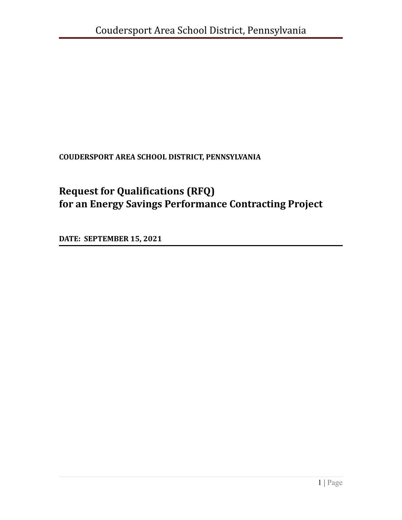**COUDERSPORT AREA SCHOOL DISTRICT, PENNSYLVANIA**

# **Request for Qualifications (RFQ) for an Energy Savings Performance Contracting Project**

**DATE: SEPTEMBER 15, 2021**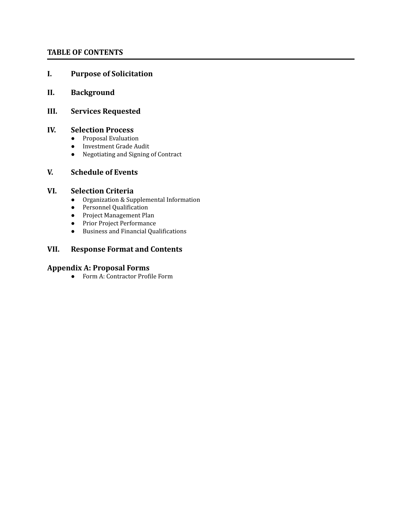#### **TABLE OF CONTENTS**

#### **I. Purpose of Solicitation**

#### **II. Background**

#### **III. Services Requested**

#### **IV. Selection Process**

- Proposal Evaluation
- Investment Grade Audit
- Negotiating and Signing of Contract

#### **V. Schedule of Events**

#### **VI. Selection Criteria**

- Organization & Supplemental Information
- Personnel Qualification
- Project Management Plan
- Prior Project Performance
- Business and Financial Qualifications

#### **VII. Response Format and Contents**

## **Appendix A: Proposal Forms**

● Form A: Contractor Profile Form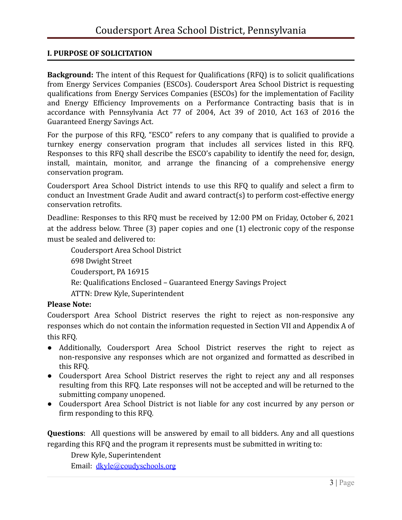## **I. PURPOSE OF SOLICITATION**

**Background:** The intent of this Request for Qualifications (RFQ) is to solicit qualifications from Energy Services Companies (ESCOs). Coudersport Area School District is requesting qualifications from Energy Services Companies (ESCOs) for the implementation of Facility and Energy Efficiency Improvements on a Performance Contracting basis that is in accordance with Pennsylvania Act 77 of 2004, Act 39 of 2010, Act 163 of 2016 the Guaranteed Energy Savings Act.

For the purpose of this RFQ, "ESCO" refers to any company that is qualified to provide a turnkey energy conservation program that includes all services listed in this RFQ. Responses to this RFQ shall describe the ESCO's capability to identify the need for, design, install, maintain, monitor, and arrange the financing of a comprehensive energy conservation program.

Coudersport Area School District intends to use this RFQ to qualify and select a firm to conduct an Investment Grade Audit and award contract(s) to perform cost-effective energy conservation retrofits.

Deadline: Responses to this RFQ must be received by 12:00 PM on Friday, October 6, 2021 at the address below. Three (3) paper copies and one (1) electronic copy of the response must be sealed and delivered to:

Coudersport Area School District 698 Dwight Street Coudersport, PA 16915 Re: Qualifications Enclosed – Guaranteed Energy Savings Project ATTN: Drew Kyle, Superintendent

## **Please Note:**

Coudersport Area School District reserves the right to reject as non-responsive any responses which do not contain the information requested in Section VII and Appendix A of this RFQ.

- Additionally, Coudersport Area School District reserves the right to reject as non-responsive any responses which are not organized and formatted as described in this RFQ.
- Coudersport Area School District reserves the right to reject any and all responses resulting from this RFQ. Late responses will not be accepted and will be returned to the submitting company unopened.
- Coudersport Area School District is not liable for any cost incurred by any person or firm responding to this RFQ.

**Questions**: All questions will be answered by email to all bidders. Any and all questions regarding this RFQ and the program it represents must be submitted in writing to:

Drew Kyle, Superintendent

Email: [dkyle@coudyschools.org](mailto:dkyle@coudyschools.org)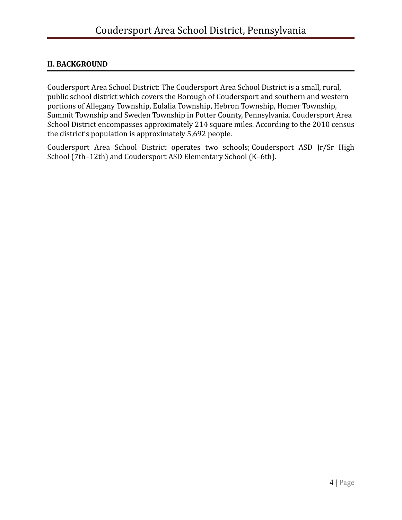## **II. BACKGROUND**

Coudersport Area School District: The Coudersport Area School District is a small, [rural](https://en.wikipedia.org/wiki/Rural), public school district which covers the Borough of Coudersport and southern and western portions of Allegany Township, Eulalia Township, Hebron Township, Homer Township, Summit Township and Sweden Township in Potter County, Pennsylvania. Coudersport Area School District encompasses approximately 214 square miles. According to the 2010 census the district's population is approximately 5,692 people.

Coudersport Area School District operates two schools; [Coudersport](https://en.wikipedia.org/wiki/Clarion-Limestone_Jr/Sr_High_School) ASD Jr/Sr High [School](https://en.wikipedia.org/wiki/Clarion-Limestone_Jr/Sr_High_School) (7th–12th) and Coudersport ASD [Elementary School](https://en.wikipedia.org/wiki/Elementary_School) (K–6th).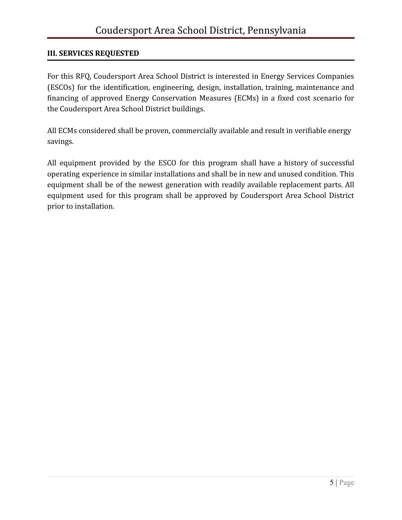## **III. SERVICES REQUESTED**

For this RFQ, Coudersport Area School District is interested in Energy Services Companies (ESCOs) for the identification, engineering, design, installation, training, maintenance and financing of approved Energy Conservation Measures (ECMs) in a fixed cost scenario for the Coudersport Area School District buildings.

All ECMs considered shall be proven, commercially available and result in verifiable energy savings.

All equipment provided by the ESCO for this program shall have a history of successful operating experience in similar installations and shall be in new and unused condition. This equipment shall be of the newest generation with readily available replacement parts. All equipment used for this program shall be approved by Coudersport Area School District prior to installation.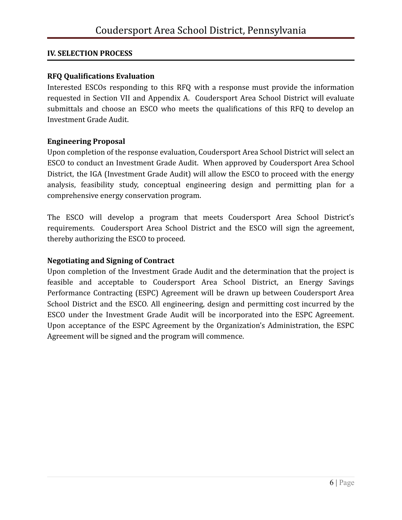## **IV. SELECTION PROCESS**

## **RFQ Qualifications Evaluation**

Interested ESCOs responding to this RFQ with a response must provide the information requested in Section VII and Appendix A. Coudersport Area School District will evaluate submittals and choose an ESCO who meets the qualifications of this RFQ to develop an Investment Grade Audit.

## **Engineering Proposal**

Upon completion of the response evaluation, Coudersport Area School District will select an ESCO to conduct an Investment Grade Audit. When approved by Coudersport Area School District, the IGA (Investment Grade Audit) will allow the ESCO to proceed with the energy analysis, feasibility study, conceptual engineering design and permitting plan for a comprehensive energy conservation program.

The ESCO will develop a program that meets Coudersport Area School District's requirements. Coudersport Area School District and the ESCO will sign the agreement, thereby authorizing the ESCO to proceed.

## **Negotiating and Signing of Contract**

Upon completion of the Investment Grade Audit and the determination that the project is feasible and acceptable to Coudersport Area School District, an Energy Savings Performance Contracting (ESPC) Agreement will be drawn up between Coudersport Area School District and the ESCO. All engineering, design and permitting cost incurred by the ESCO under the Investment Grade Audit will be incorporated into the ESPC Agreement. Upon acceptance of the ESPC Agreement by the Organization's Administration, the ESPC Agreement will be signed and the program will commence.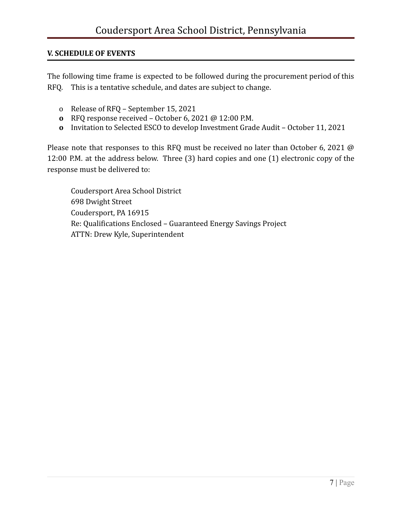## **V. SCHEDULE OF EVENTS**

The following time frame is expected to be followed during the procurement period of this RFQ. This is a tentative schedule, and dates are subject to change.

- o Release of RFQ September 15, 2021
- **o** RFQ response received October 6, 2021 @ 12:00 P.M.
- **o** Invitation to Selected ESCO to develop Investment Grade Audit October 11, 2021

Please note that responses to this RFQ must be received no later than October 6, 2021 @ 12:00 P.M. at the address below. Three (3) hard copies and one (1) electronic copy of the response must be delivered to:

Coudersport Area School District 698 Dwight Street Coudersport, PA 16915 Re: Qualifications Enclosed – Guaranteed Energy Savings Project ATTN: Drew Kyle, Superintendent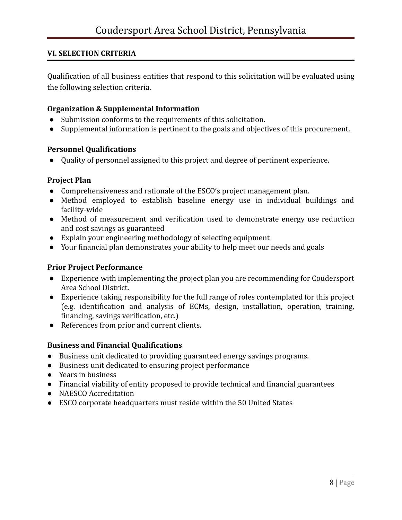## **VI. SELECTION CRITERIA**

Qualification of all business entities that respond to this solicitation will be evaluated using the following selection criteria.

#### **Organization & Supplemental Information**

- Submission conforms to the requirements of this solicitation.
- Supplemental information is pertinent to the goals and objectives of this procurement.

#### **Personnel Qualifications**

● Quality of personnel assigned to this project and degree of pertinent experience.

#### **Project Plan**

- Comprehensiveness and rationale of the ESCO's project management plan.
- Method employed to establish baseline energy use in individual buildings and facility-wide
- Method of measurement and verification used to demonstrate energy use reduction and cost savings as guaranteed
- Explain your engineering methodology of selecting equipment
- Your financial plan demonstrates your ability to help meet our needs and goals

## **Prior Project Performance**

- Experience with implementing the project plan you are recommending for Coudersport Area School District.
- Experience taking responsibility for the full range of roles contemplated for this project (e.g. identification and analysis of ECMs, design, installation, operation, training, financing, savings verification, etc.)
- References from prior and current clients.

## **Business and Financial Qualifications**

- Business unit dedicated to providing guaranteed energy savings programs.
- Business unit dedicated to ensuring project performance
- Years in business
- Financial viability of entity proposed to provide technical and financial guarantees
- NAESCO Accreditation
- ESCO corporate headquarters must reside within the 50 United States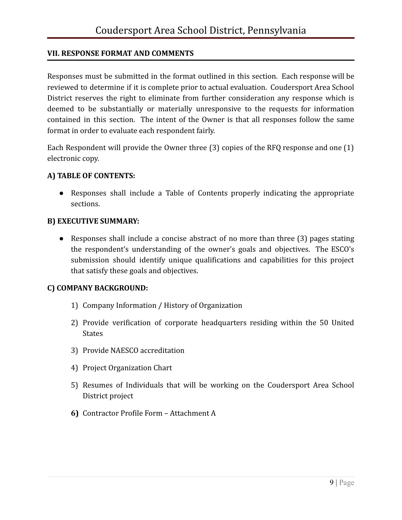## **VII. RESPONSE FORMAT AND COMMENTS**

Responses must be submitted in the format outlined in this section. Each response will be reviewed to determine if it is complete prior to actual evaluation. Coudersport Area School District reserves the right to eliminate from further consideration any response which is deemed to be substantially or materially unresponsive to the requests for information contained in this section. The intent of the Owner is that all responses follow the same format in order to evaluate each respondent fairly.

Each Respondent will provide the Owner three (3) copies of the RFQ response and one (1) electronic copy.

## **A) TABLE OF CONTENTS:**

● Responses shall include a Table of Contents properly indicating the appropriate sections.

## **B) EXECUTIVE SUMMARY:**

● Responses shall include a concise abstract of no more than three (3) pages stating the respondent's understanding of the owner's goals and objectives. The ESCO's submission should identify unique qualifications and capabilities for this project that satisfy these goals and objectives.

## **C) COMPANY BACKGROUND:**

- 1) Company Information / History of Organization
- 2) Provide verification of corporate headquarters residing within the 50 United **States**
- 3) Provide NAESCO accreditation
- 4) Project Organization Chart
- 5) Resumes of Individuals that will be working on the Coudersport Area School District project
- **6)** Contractor Profile Form Attachment A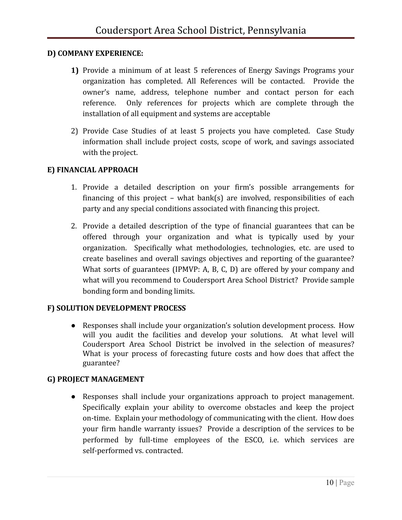## **D) COMPANY EXPERIENCE:**

- **1)** Provide a minimum of at least 5 references of Energy Savings Programs your organization has completed. All References will be contacted. Provide the owner's name, address, telephone number and contact person for each reference. Only references for projects which are complete through the installation of all equipment and systems are acceptable
- 2) Provide Case Studies of at least 5 projects you have completed. Case Study information shall include project costs, scope of work, and savings associated with the project.

## **E) FINANCIAL APPROACH**

- 1. Provide a detailed description on your firm's possible arrangements for financing of this project – what bank(s) are involved, responsibilities of each party and any special conditions associated with financing this project.
- 2. Provide a detailed description of the type of financial guarantees that can be offered through your organization and what is typically used by your organization. Specifically what methodologies, technologies, etc. are used to create baselines and overall savings objectives and reporting of the guarantee? What sorts of guarantees (IPMVP: A, B, C, D) are offered by your company and what will you recommend to Coudersport Area School District? Provide sample bonding form and bonding limits.

## **F) SOLUTION DEVELOPMENT PROCESS**

● Responses shall include your organization's solution development process. How will you audit the facilities and develop your solutions. At what level will Coudersport Area School District be involved in the selection of measures? What is your process of forecasting future costs and how does that affect the guarantee?

## **G) PROJECT MANAGEMENT**

● Responses shall include your organizations approach to project management. Specifically explain your ability to overcome obstacles and keep the project on-time. Explain your methodology of communicating with the client. How does your firm handle warranty issues? Provide a description of the services to be performed by full-time employees of the ESCO, i.e. which services are self-performed vs. contracted.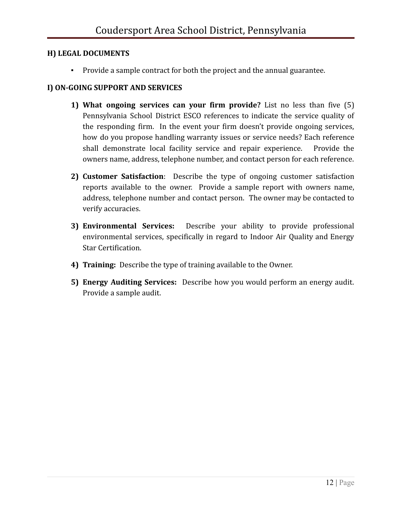## **H) LEGAL DOCUMENTS**

▪ Provide a sample contract for both the project and the annual guarantee.

# **I) ON-GOING SUPPORT AND SERVICES**

- **1) What ongoing services can your firm provide?** List no less than five (5) Pennsylvania School District ESCO references to indicate the service quality of the responding firm. In the event your firm doesn't provide ongoing services, how do you propose handling warranty issues or service needs? Each reference shall demonstrate local facility service and repair experience. Provide the owners name, address, telephone number, and contact person for each reference.
- **2) Customer Satisfaction**: Describe the type of ongoing customer satisfaction reports available to the owner. Provide a sample report with owners name, address, telephone number and contact person. The owner may be contacted to verify accuracies.
- **3) Environmental Services:** Describe your ability to provide professional environmental services, specifically in regard to Indoor Air Quality and Energy Star Certification.
- **4) Training:** Describe the type of training available to the Owner.
- **5) Energy Auditing Services:** Describe how you would perform an energy audit. Provide a sample audit.